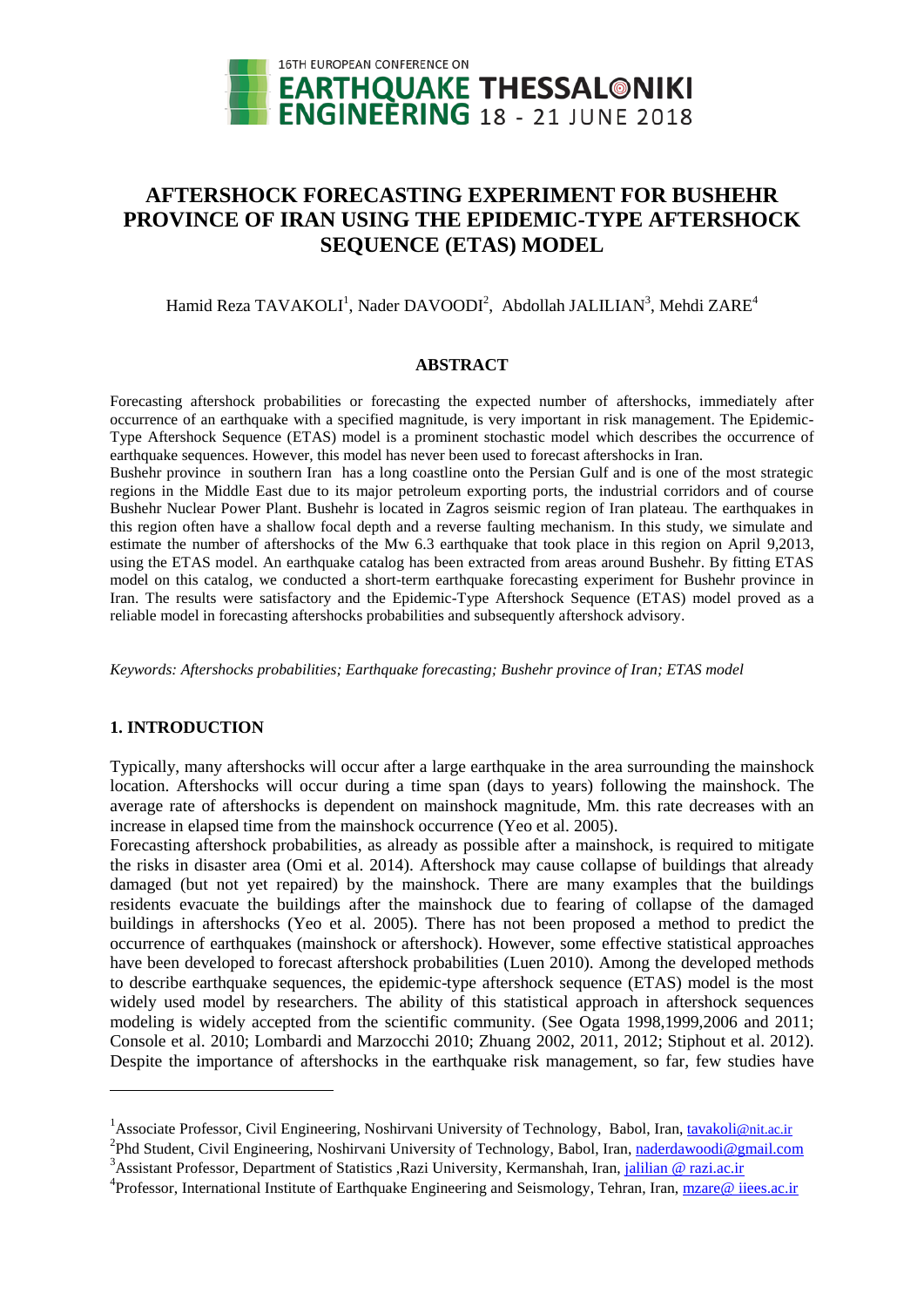

# **AFTERSHOCK FORECASTING EXPERIMENT FOR BUSHEHR PROVINCE OF IRAN USING THE EPIDEMIC-TYPE AFTERSHOCK SEQUENCE (ETAS) MODEL**

## Hamid Reza TAVAKOLI<sup>1</sup>, Nader DAVOODI<sup>2</sup>, Abdollah JALILIAN<sup>3</sup>, Mehdi ZARE<sup>4</sup>

### **ABSTRACT**

Forecasting aftershock probabilities or forecasting the expected number of aftershocks, immediately after occurrence of an earthquake with a specified magnitude, is very important in risk management. The Epidemic-Type Aftershock Sequence (ETAS) model is a prominent stochastic model which describes the occurrence of earthquake sequences. However, this model has never been used to forecast aftershocks in Iran.

Bushehr province in southern Iran has a long coastline onto the Persian Gulf and is one of the most strategic regions in the Middle East due to its major petroleum exporting ports, the industrial corridors and of course Bushehr Nuclear Power Plant. Bushehr is located in Zagros seismic region of Iran plateau. The earthquakes in this region often have a shallow focal depth and a reverse faulting mechanism. In this study, we simulate and estimate the number of aftershocks of the Mw 6.3 earthquake that took place in this region on April 9,2013, using the ETAS model. An earthquake catalog has been extracted from areas around Bushehr. By fitting ETAS model on this catalog, we conducted a short-term earthquake forecasting experiment for Bushehr province in Iran. The results were satisfactory and the Epidemic-Type Aftershock Sequence (ETAS) model proved as a reliable model in forecasting aftershocks probabilities and subsequently aftershock advisory.

*Keywords: Aftershocks probabilities; Earthquake forecasting; Bushehr province of Iran; ETAS model*

## **1. INTRODUCTION**

 $\overline{a}$ 

Typically, many aftershocks will occur after a large earthquake in the area surrounding the mainshock location. Aftershocks will occur during a time span (days to years) following the mainshock. The average rate of aftershocks is dependent on mainshock magnitude, Mm. this rate decreases with an increase in elapsed time from the mainshock occurrence (Yeo et al. 2005).

Forecasting aftershock probabilities, as already as possible after a mainshock, is required to mitigate the risks in disaster area (Omi et al. 2014). Aftershock may cause collapse of buildings that already damaged (but not yet repaired) by the mainshock. There are many examples that the buildings residents evacuate the buildings after the mainshock due to fearing of collapse of the damaged buildings in aftershocks (Yeo et al. 2005). There has not been proposed a method to predict the occurrence of earthquakes (mainshock or aftershock). However, some effective statistical approaches have been developed to forecast aftershock probabilities (Luen 2010). Among the developed methods to describe earthquake sequences, the epidemic-type aftershock sequence (ETAS) model is the most widely used model by researchers. The ability of this statistical approach in aftershock sequences modeling is widely accepted from the scientific community. (See Ogata 1998,1999,2006 and 2011; Console et al. 2010; Lombardi and Marzocchi 2010; Zhuang 2002, 2011, 2012; Stiphout et al. 2012). Despite the importance of aftershocks in the earthquake risk management, so far, few studies have

<sup>&</sup>lt;sup>1</sup> Associate Professor, Civil Engineering, Noshirvani University of Technology, Babol, Iran[, tavakoli](mailto:tavakoli@nit.ac.ir)@nit.ac.ir

<sup>&</sup>lt;sup>2</sup> Phd Student, Civil Engineering, Noshirvani University of Technology, Babol, Iran, naderdawoodi@gmail.com

<sup>&</sup>lt;sup>3</sup> Assistant Professor, Department of Statistics , Razi University, Kermanshah, Iran[, jalilian @ razi.ac.ir](mailto:emailaddress@canterbury.ac.nz)

<sup>&</sup>lt;sup>4</sup> Professor, International Institute of Earthquake Engineering and Seismology, Tehran, Iran, mzare@ iiees.ac.ir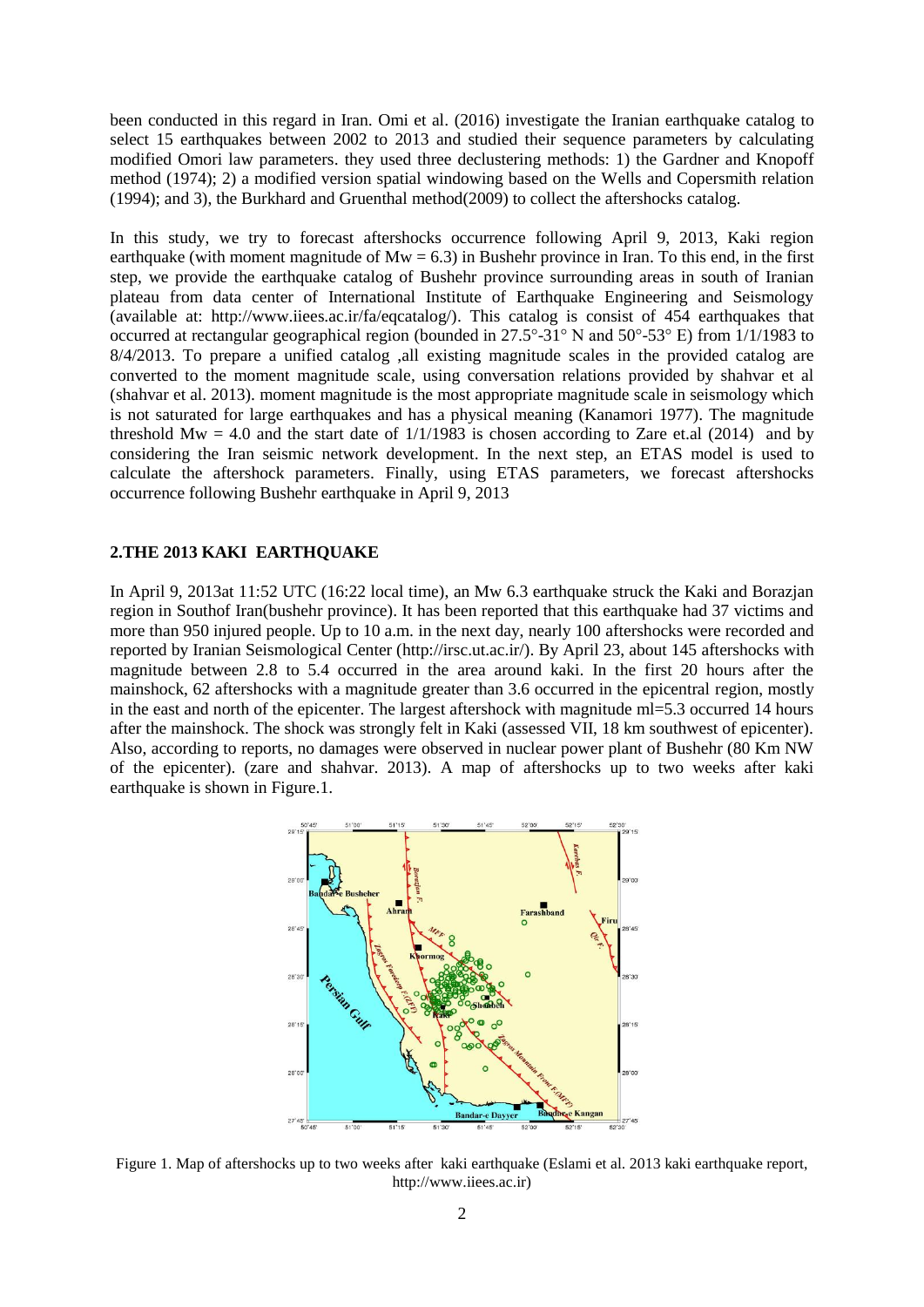been conducted in this regard in Iran. Omi et al. (2016) investigate the Iranian earthquake catalog to select 15 earthquakes between 2002 to 2013 and studied their sequence parameters by calculating modified Omori law parameters. they used three declustering methods: 1) the Gardner and Knopoff method (1974); 2) a modified version spatial windowing based on the Wells and Copersmith relation (1994); and 3), the Burkhard and Gruenthal method(2009) to collect the aftershocks catalog.

In this study, we try to forecast aftershocks occurrence following April 9, 2013, Kaki region earthquake (with moment magnitude of  $Mw = 6.3$ ) in Bushehr province in Iran. To this end, in the first step, we provide the earthquake catalog of Bushehr province surrounding areas in south of Iranian plateau from data center of International Institute of Earthquake Engineering and Seismology (available at: http://www.iiees.ac.ir/fa/eqcatalog/). This catalog is consist of 454 earthquakes that occurred at rectangular geographical region (bounded in 27.5°-31° N and 50°-53° E) from 1/1/1983 to 8/4/2013. To prepare a unified catalog ,all existing magnitude scales in the provided catalog are converted to the moment magnitude scale, using conversation relations provided by shahvar et al (shahvar et al. 2013). moment magnitude is the most appropriate magnitude scale in seismology which is not saturated for large earthquakes and has a physical meaning (Kanamori 1977). The magnitude threshold Mw = 4.0 and the start date of  $1/1/1983$  is chosen according to Zare et.al (2014) and by considering the Iran seismic network development. In the next step, an ETAS model is used to calculate the aftershock parameters. Finally, using ETAS parameters, we forecast aftershocks occurrence following Bushehr earthquake in April 9, 2013

## **2.THE 2013 KAKI EARTHQUAKE**

In April 9, 2013at 11:52 UTC (16:22 local time), an Mw 6.3 earthquake struck the Kaki and Borazjan region in Southof Iran(bushehr province). It has been reported that this earthquake had 37 victims and more than 950 injured people. Up to 10 a.m. in the next day, nearly 100 aftershocks were recorded and reported by Iranian Seismological Center [\(http://irsc.ut.ac.ir/\)](http://irsc.ut.ac.ir/). By April 23, about 145 aftershocks with magnitude between 2.8 to 5.4 occurred in the area around kaki. In the first 20 hours after the mainshock, 62 aftershocks with a magnitude greater than 3.6 occurred in the epicentral region, mostly in the east and north of the epicenter. The largest aftershock with magnitude ml=5.3 occurred 14 hours after the mainshock. The shock was strongly felt in Kaki (assessed VII, 18 km southwest of epicenter). Also, according to reports, no damages were observed in nuclear power plant of Bushehr (80 Km NW of the epicenter). (zare and shahvar. 2013). A map of aftershocks up to two weeks after kaki earthquake is shown in Figure.1.



Figure 1. Map of aftershocks up to two weeks after kaki earthquake (Eslami et al. 2013 kaki earthquake report, http://www.iiees.ac.ir)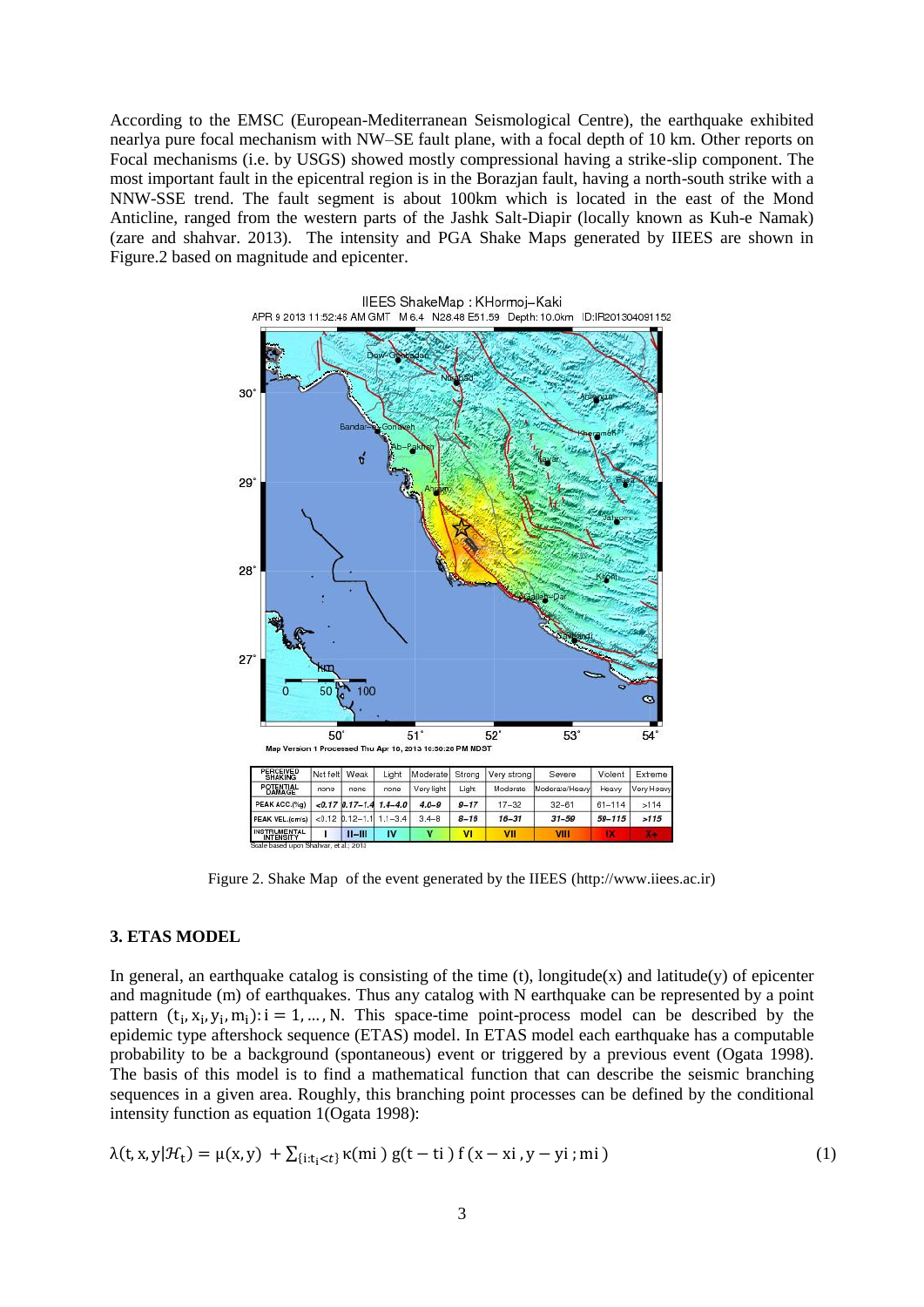According to the EMSC (European-Mediterranean Seismological Centre), the earthquake exhibited nearlya pure focal mechanism with NW–SE fault plane, with a focal depth of 10 km. Other reports on Focal mechanisms (i.e. by USGS) showed mostly compressional having a strike-slip component. The most important fault in the epicentral region is in the Borazjan fault, having a north-south strike with a NNW-SSE trend. The fault segment is about 100km which is located in the east of the Mond Anticline, ranged from the western parts of the Jashk Salt-Diapir (locally known as Kuh-e Namak) (zare and shahvar. 2013). The intensity and PGA Shake Maps generated by IIEES are shown in Figure.2 based on magnitude and epicenter.



Figure 2. Shake Map of the event generated by the IIEES (http://www.iiees.ac.ir)

#### **3. ETAS MODEL**

In general, an earthquake catalog is consisting of the time  $(t)$ , longitude $(x)$  and latitude $(y)$  of epicenter and magnitude (m) of earthquakes. Thus any catalog with N earthquake can be represented by a point pattern  $(t_i, x_i, y_i, m_i)$ :  $i = 1, ..., N$ . This space-time point-process model can be described by the epidemic type aftershock sequence (ETAS) model. In ETAS model each earthquake has a computable probability to be a background (spontaneous) event or triggered by a previous event (Ogata 1998). The basis of this model is to find a mathematical function that can describe the seismic branching sequences in a given area. Roughly, this branching point processes can be defined by the conditional intensity function as equation 1(Ogata 1998):

$$
\lambda(t, x, y | \mathcal{H}_t) = \mu(x, y) + \sum_{\{i : t_i < t\}} \kappa(\text{mi}) g(t - t_i) f(x - x_i, y - y_i; \text{mi}) \tag{1}
$$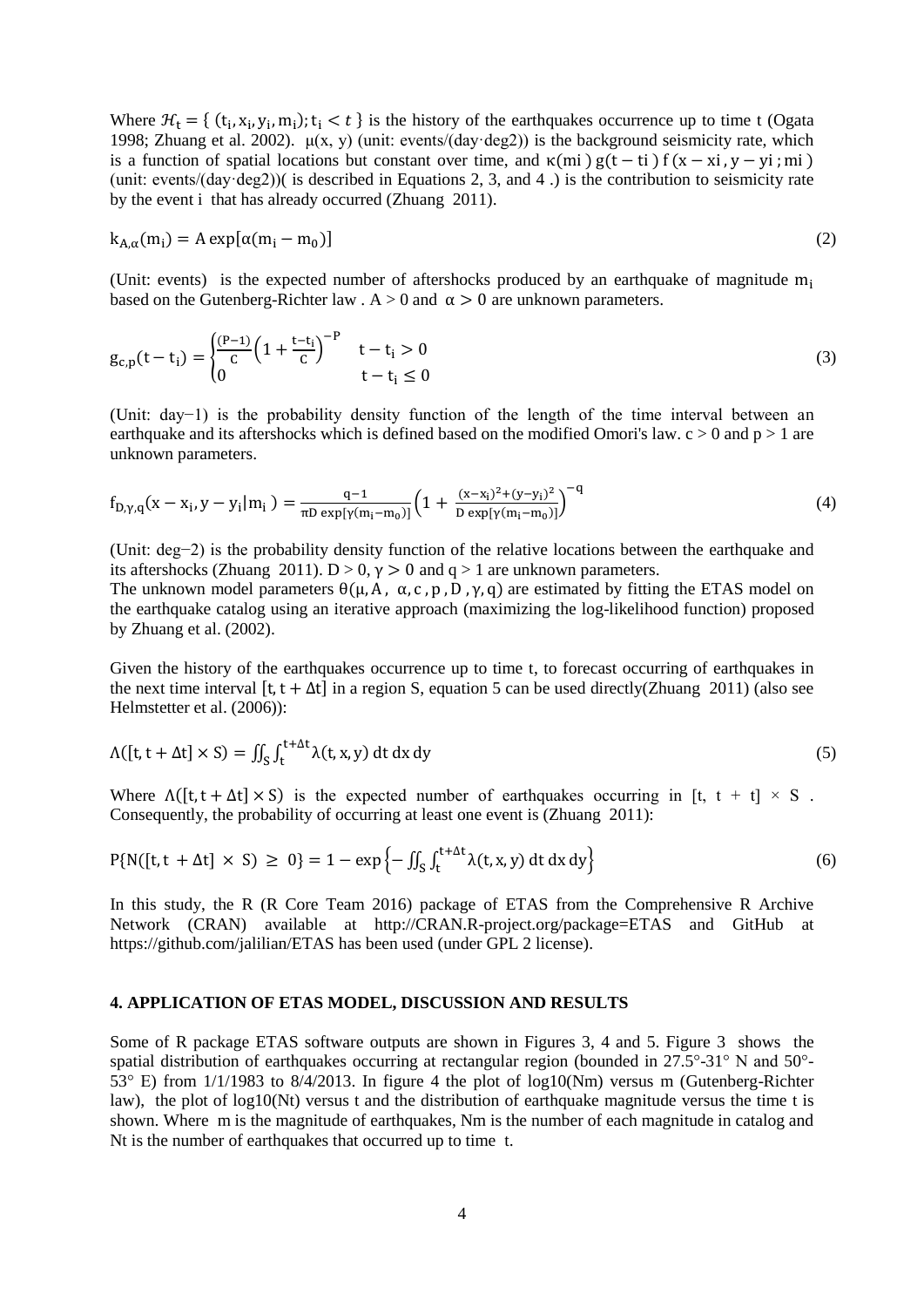Where  $H_t = \{ (t_i, x_i, y_i, m_i); t_i < t \}$  is the history of the earthquakes occurrence up to time t (Ogata 1998; Zhuang et al. 2002).  $\mu(x, y)$  (unit: events/(day·deg2)) is the background seismicity rate, which is a function of spatial locations but constant over time, and  $\kappa$ (mi)  $g(t - ti) f(x - xi, y - yi; mi)$ (unit: events/(day·deg2))( is described in Equations 2, 3, and 4 .) is the contribution to seismicity rate by the event i that has already occurred (Zhuang 2011).

$$
k_{A,\alpha}(m_i) = A \exp[\alpha(m_i - m_0)]
$$
 (2)

(Unit: events) is the expected number of aftershocks produced by an earthquake of magnitude  $m_i$ based on the Gutenberg-Richter law . A  $> 0$  and  $\alpha > 0$  are unknown parameters.

$$
g_{c,p}(t - t_i) = \begin{cases} \frac{(P-1)}{C} \left( 1 + \frac{t - t_i}{C} \right)^{-P} & t - t_i > 0\\ 0 & t - t_i \le 0 \end{cases} \tag{3}
$$

(Unit: day−1) is the probability density function of the length of the time interval between an earthquake and its aftershocks which is defined based on the modified Omori's law.  $c > 0$  and  $p > 1$  are unknown parameters.

$$
f_{D,\gamma,q}(x - x_i, y - y_i|m_i) = \frac{q-1}{\pi D \exp[\gamma(m_i - m_0)]} \left(1 + \frac{(x - x_i)^2 + (y - y_i)^2}{D \exp[\gamma(m_i - m_0)]}\right)^{-q}
$$
(4)

(Unit: deg−2) is the probability density function of the relative locations between the earthquake and its aftershocks (Zhuang 2011).  $D > 0$ ,  $\gamma > 0$  and  $q > 1$  are unknown parameters.

The unknown model parameters  $\theta(\mu, A, \alpha, c, p, D, \gamma, q)$  are estimated by fitting the ETAS model on the earthquake catalog using an iterative approach (maximizing the log-likelihood function) proposed by Zhuang et al. (2002).

Given the history of the earthquakes occurrence up to time t, to forecast occurring of earthquakes in the next time interval [t, t +  $\Delta t$ ] in a region S, equation 5 can be used directly(Zhuang 2011) (also see Helmstetter et al. (2006)):

$$
\Lambda([t, t + \Delta t] \times S) = \iint_{S} \int_{t}^{t + \Delta t} \lambda(t, x, y) dt dx dy
$$
\n(5)

Where  $\Lambda([t, t + \Delta t] \times S)$  is the expected number of earthquakes occurring in [t, t + t]  $\times S$ . Consequently, the probability of occurring at least one event is (Zhuang 2011):

$$
P\{N([t, t + \Delta t] \times S) \ge 0\} = 1 - \exp\left\{-\iint_{S} \int_{t}^{t + \Delta t} \lambda(t, x, y) dt dx dy\right\}
$$
(6)

In this study, the R (R Core Team 2016) package of ETAS from the Comprehensive R Archive Network (CRAN) available at http://CRAN.R-project.org/package=ETAS and GitHub at <https://github.com/jalilian/ETAS> has been used (under GPL 2 license).

## **4. APPLICATION OF ETAS MODEL, DISCUSSION AND RESULTS**

Some of R package ETAS software outputs are shown in Figures 3, 4 and 5. Figure 3 shows the spatial distribution of earthquakes occurring at rectangular region (bounded in 27.5°-31° N and 50°-53° E) from 1/1/1983 to 8/4/2013. In figure 4 the plot of log10(Nm) versus m (Gutenberg-Richter law), the plot of log10(Nt) versus t and the distribution of earthquake magnitude versus the time t is shown. Where m is the magnitude of earthquakes, Nm is the number of each magnitude in catalog and Nt is the number of earthquakes that occurred up to time t.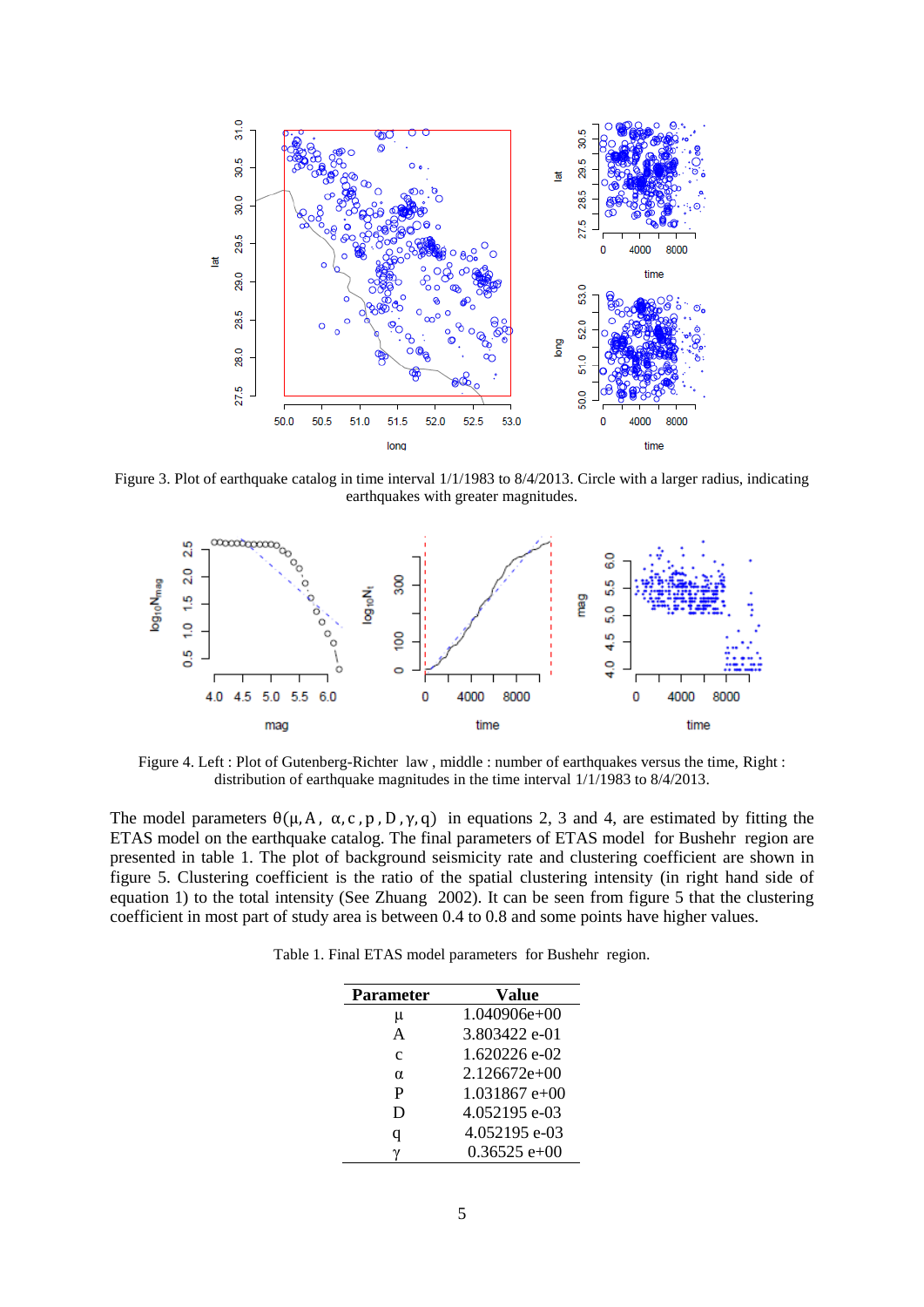

Figure 3. Plot of earthquake catalog in time interval  $1/1/1983$  to  $8/4/2013$ . Circle with a larger radius, indicating earthquakes with greater magnitudes.



Figure 4. Left : Plot of Gutenberg-Richter law, middle : number of earthquakes versus the time, Right : distribution of earthquake magnitudes in the time interval 1/1/1983 to 8/4/2013.

The model parameters  $\theta(\mu, A, \alpha, c, p, D, \gamma, q)$  in equations 2, 3 and 4, are estimated by fitting the ETAS model on the earthquake catalog. The final parameters of ETAS model for Bushehr region are presented in table 1. The plot of background seismicity rate and clustering coefficient are shown in figure 5. Clustering coefficient is the ratio of the spatial clustering intensity (in right hand side of equation 1) to the total intensity (See Zhuang 2002). It can be seen from figure 5 that the clustering coefficient in most part of study area is between 0.4 to 0.8 and some points have higher values.

Table 1. Final ETAS model parameters for Bushehr region.

| <b>Parameter</b> | Value          |
|------------------|----------------|
| μ                | $1.040906e+00$ |
| A                | 3.803422 e-01  |
| $\mathbf{c}$     | 1.620226 e-02  |
| $\alpha$         | $2.126672e+00$ |
| P                | $1.031867e+00$ |
| D                | 4.052195 e-03  |
| q                | 4.052195 e-03  |
| γ                | $0.36525$ e+00 |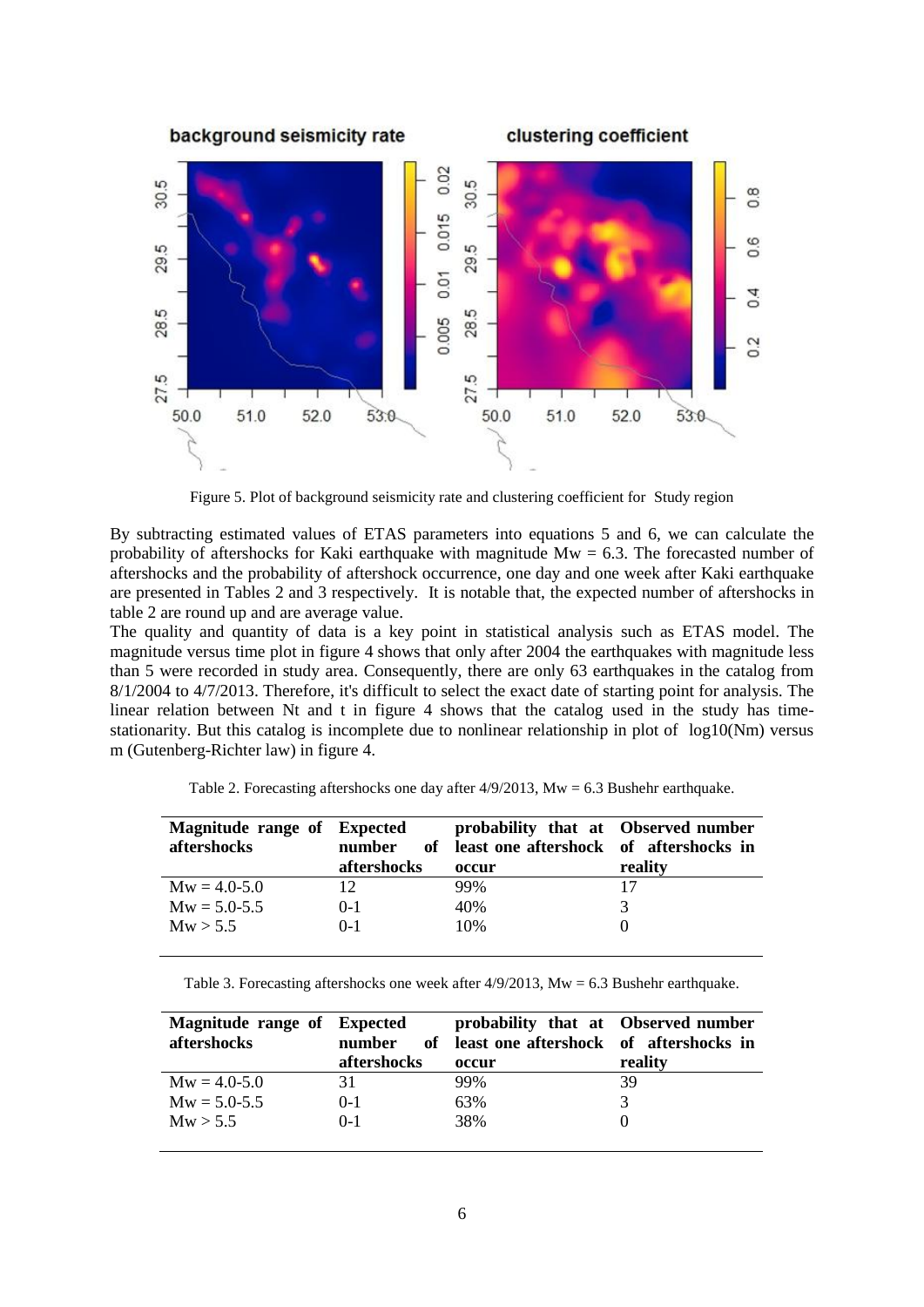

Figure 5. Plot of background seismicity rate and clustering coefficient for Study region

By subtracting estimated values of ETAS parameters into equations 5 and 6, we can calculate the probability of aftershocks for Kaki earthquake with magnitude  $Mw = 6.3$ . The forecasted number of aftershocks and the probability of aftershock occurrence, one day and one week after Kaki earthquake are presented in Tables 2 and 3 respectively. It is notable that, the expected number of aftershocks in table 2 are round up and are average value.

The quality and quantity of data is a key point in statistical analysis such as ETAS model. The magnitude versus time plot in figure 4 shows that only after 2004 the earthquakes with magnitude less than 5 were recorded in study area. Consequently, there are only 63 earthquakes in the catalog from 8/1/2004 to 4/7/2013. Therefore, it's difficult to select the exact date of starting point for analysis. The linear relation between Nt and t in figure 4 shows that the catalog used in the study has timestationarity. But this catalog is incomplete due to nonlinear relationship in plot of log10(Nm) versus m (Gutenberg-Richter law) in figure 4.

| Magnitude range of Expected |             | probability that at Observed number       |         |
|-----------------------------|-------------|-------------------------------------------|---------|
| aftershocks                 | number      | of least one aftershock of aftershocks in |         |
|                             | aftershocks | occur                                     | reality |
| $Mw = 4.0 - 5.0$            | 12.         | 99%                                       | 17      |
| $Mw = 5.0 - 5.5$            | $0-1$       | 40%                                       |         |
| Mw > 5.5                    | $() - 1$    | 10%                                       |         |

Table 2. Forecasting aftershocks one day after 4/9/2013, Mw = 6.3 Bushehr earthquake.

Table 3. Forecasting aftershocks one week after 4/9/2013, Mw = 6.3 Bushehr earthquake.

| Magnitude range of Expected<br>aftershocks | number<br>aftershocks | probability that at Observed number<br>of least one aftershock of aftershocks in<br>occur | reality |
|--------------------------------------------|-----------------------|-------------------------------------------------------------------------------------------|---------|
| $Mw = 4.0 - 5.0$                           | 31                    | 99%                                                                                       | 39      |
| $Mw = 5.0 - 5.5$                           | $0-1$                 | 63%                                                                                       |         |
| Mw > 5.5                                   | $() - 1$              | 38%                                                                                       |         |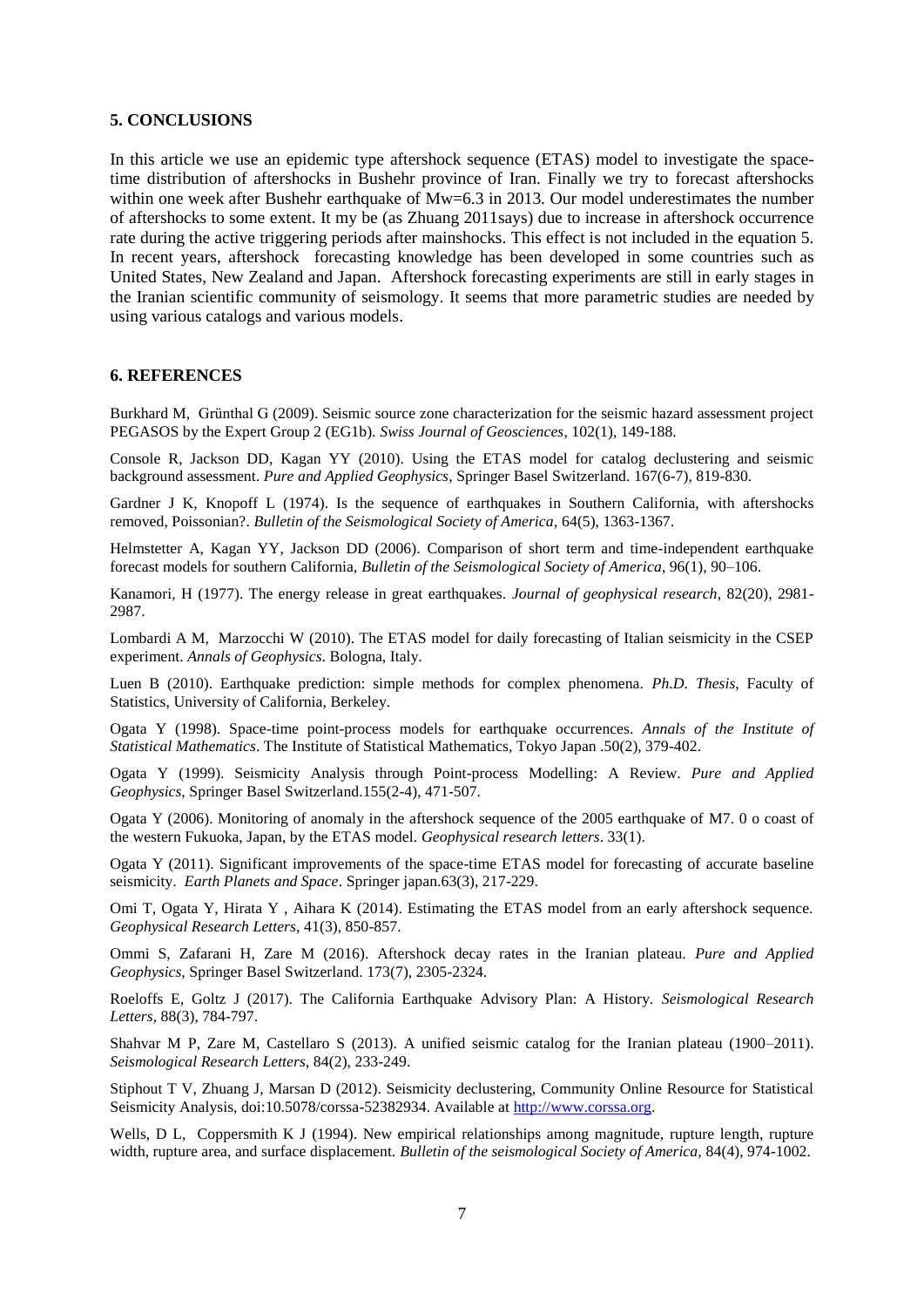#### **5. CONCLUSIONS**

In this article we use an epidemic type aftershock sequence (ETAS) model to investigate the spacetime distribution of aftershocks in Bushehr province of Iran. Finally we try to forecast aftershocks within one week after Bushehr earthquake of  $Mw=6.3$  in 2013. Our model underestimates the number of aftershocks to some extent. It my be (as Zhuang 2011says) due to increase in aftershock occurrence rate during the active triggering periods after mainshocks. This effect is not included in the equation 5. In recent years, aftershock forecasting knowledge has been developed in some countries such as United States, New Zealand and Japan. Aftershock forecasting experiments are still in early stages in the Iranian scientific community of seismology. It seems that more parametric studies are needed by using various catalogs and various models.

#### **6. REFERENCES**

Burkhard M, Grünthal G (2009). Seismic source zone characterization for the seismic hazard assessment project PEGASOS by the Expert Group 2 (EG1b). *Swiss Journal of Geosciences*, 102(1), 149-188.

Console R, Jackson DD, Kagan YY (2010). Using the ETAS model for catalog declustering and seismic background assessment. *Pure and Applied Geophysics*, Springer Basel Switzerland. 167(6-7), 819-830.

Gardner J K, Knopoff L (1974). Is the sequence of earthquakes in Southern California, with aftershocks removed, Poissonian?. *Bulletin of the Seismological Society of America*, 64(5), 1363-1367.

Helmstetter A, Kagan YY, Jackson DD (2006). Comparison of short term and time-independent earthquake forecast models for southern California, *Bulletin of the Seismological Society of America*, 96(1), 90–106.

Kanamori, H (1977). The energy release in great earthquakes. *Journal of geophysical research*, 82(20), 2981- 2987.

Lombardi A M, Marzocchi W (2010). The ETAS model for daily forecasting of Italian seismicity in the CSEP experiment. *Annals of Geophysics*. Bologna, Italy.

Luen B (2010). Earthquake prediction: simple methods for complex phenomena. *Ph.D. Thesis*, Faculty of Statistics, University of California, Berkeley.

Ogata Y (1998). Space-time point-process models for earthquake occurrences. *Annals of the Institute of Statistical Mathematics*. The Institute of Statistical Mathematics, Tokyo Japan .50(2), 379-402.

Ogata Y (1999). Seismicity Analysis through Point-process Modelling: A Review. *Pure and Applied Geophysics*, Springer Basel Switzerland.155(2-4), 471-507.

Ogata Y (2006). Monitoring of anomaly in the aftershock sequence of the 2005 earthquake of M7. 0 o coast of the western Fukuoka, Japan, by the ETAS model. *Geophysical research letters*. 33(1).

Ogata Y (2011). Significant improvements of the space-time ETAS model for forecasting of accurate baseline seismicity. *Earth Planets and Space*. Springer japan.63(3), 217-229.

Omi T, Ogata Y, Hirata Y , Aihara K (2014). Estimating the ETAS model from an early aftershock sequence. *Geophysical Research Letters*, 41(3), 850-857.

Ommi S, Zafarani H, Zare M (2016). Aftershock decay rates in the Iranian plateau. *Pure and Applied Geophysics*, Springer Basel Switzerland. 173(7), 2305-2324.

Roeloffs E, Goltz J (2017). The California Earthquake Advisory Plan: A History. *Seismological Research Letters*, 88(3), 784-797.

Shahvar M P, Zare M, Castellaro S (2013). A unified seismic catalog for the Iranian plateau (1900–2011). *Seismological Research Letters*, 84(2), 233-249.

Stiphout T V, Zhuang J, Marsan D (2012). Seismicity declustering, Community Online Resource for Statistical Seismicity Analysis, doi:10.5078/corssa-52382934. Available at [http://www.corssa.org.](http://www.corssa.org/)

Wells, D L, Coppersmith K J (1994). New empirical relationships among magnitude, rupture length, rupture width, rupture area, and surface displacement. *Bulletin of the seismological Society of America,* 84(4), 974-1002.